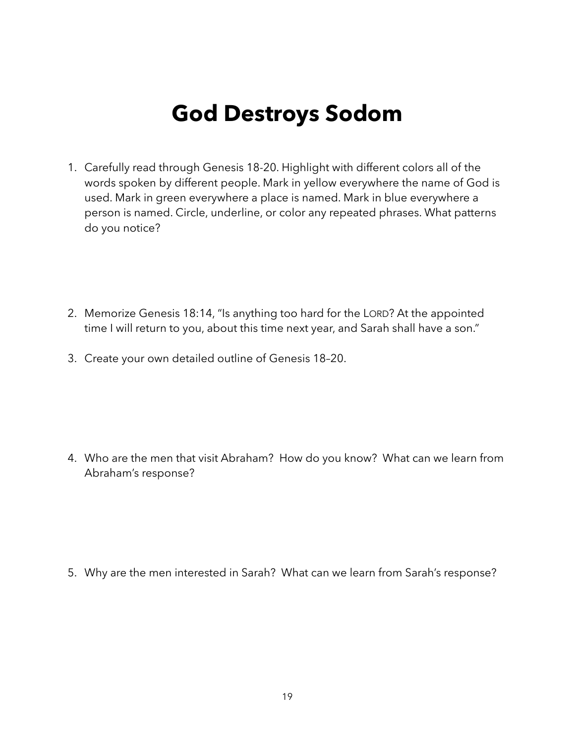## **God Destroys Sodom**

- 1. Carefully read through Genesis 18-20. Highlight with different colors all of the words spoken by different people. Mark in yellow everywhere the name of God is used. Mark in green everywhere a place is named. Mark in blue everywhere a person is named. Circle, underline, or color any repeated phrases. What patterns do you notice?
- 2. Memorize Genesis 18:14, "Is anything too hard for the LORD? At the appointed time I will return to you, about this time next year, and Sarah shall have a son."
- 3. Create your own detailed outline of Genesis 18–20.

4. Who are the men that visit Abraham? How do you know? What can we learn from Abraham's response?

5. Why are the men interested in Sarah? What can we learn from Sarah's response?